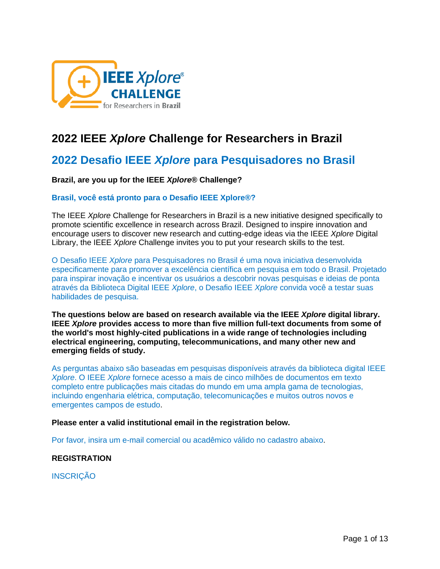

# **2022 IEEE** *Xplore* **Challenge for Researchers in Brazil**

# **2022 Desafio IEEE** *Xplore* **para Pesquisadores no Brasil**

### **Brazil, are you up for the IEEE** *Xplore***® Challenge?**

### **Brasil, você está pronto para o Desafio IEEE Xplore®?**

The IEEE *Xplore* Challenge for Researchers in Brazil is a new initiative designed specifically to promote scientific excellence in research across Brazil. Designed to inspire innovation and encourage users to discover new research and cutting-edge ideas via the IEEE *Xplore* Digital Library, the IEEE *Xplore* Challenge invites you to put your research skills to the test.

O Desafio IEEE *Xplore* para Pesquisadores no Brasil é uma nova iniciativa desenvolvida especificamente para promover a excelência científica em pesquisa em todo o Brasil. Projetado para inspirar inovação e incentivar os usuários a descobrir novas pesquisas e ideias de ponta através da Biblioteca Digital IEEE *Xplore*, o Desafio IEEE *Xplore* convida você a testar suas habilidades de pesquisa.

**The questions below are based on research available via the IEEE** *Xplore* **digital library. IEEE** *Xplore* **provides access to more than five million full-text documents from some of the world's most highly-cited publications in a wide range of technologies including electrical engineering, computing, telecommunications, and many other new and emerging fields of study.** 

As perguntas abaixo são baseadas em pesquisas disponíveis através da biblioteca digital IEEE *Xplore*. O IEEE *Xplore* fornece acesso a mais de cinco milhões de documentos em texto completo entre publicações mais citadas do mundo em uma ampla gama de tecnologias, incluindo engenharia elétrica, computação, telecomunicações e muitos outros novos e emergentes campos de estudo.

#### **Please enter a valid institutional email in the registration below.**

Por favor, insira um e-mail comercial ou acadêmico válido no cadastro abaixo.

### **REGISTRATION**

**INSCRIÇÃO**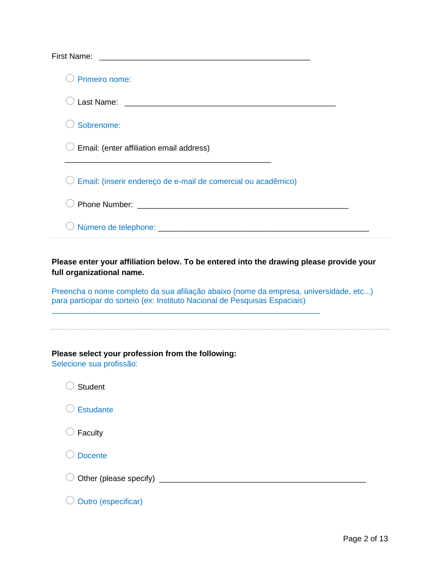| <b>First Name:</b>                                                                                                                                                  |
|---------------------------------------------------------------------------------------------------------------------------------------------------------------------|
| Primeiro nome:                                                                                                                                                      |
|                                                                                                                                                                     |
| Sobrenome:                                                                                                                                                          |
| Email: (enter affiliation email address)                                                                                                                            |
| Email: (inserir endereço de e-mail de comercial ou acadêmico)                                                                                                       |
|                                                                                                                                                                     |
|                                                                                                                                                                     |
| full organizational name.                                                                                                                                           |
| Preencha o nome completo da sua afiliação abaixo (nome da empresa, universidade, etc)<br>para participar do sorteio (ex: Instituto Nacional de Pesquisas Espaciais) |
| Please select your profession from the following:<br>Selecione sua profissão:                                                                                       |
| <b>Student</b>                                                                                                                                                      |
| Estudante                                                                                                                                                           |
| Faculty                                                                                                                                                             |
| <b>Docente</b>                                                                                                                                                      |
|                                                                                                                                                                     |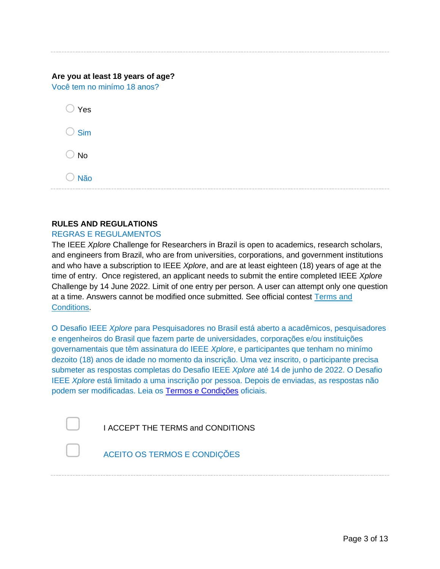|  |  | Are you at least 18 years of age? |  |
|--|--|-----------------------------------|--|
|  |  |                                   |  |

Você tem no minímo 18 anos?

| Yes |  |
|-----|--|
| Sim |  |
| No  |  |

 $\bigcirc$  Não

### **RULES AND REGULATIONS**

### REGRAS E REGULAMENTOS

The IEEE *Xplore* Challenge for Researchers in Brazil is open to academics, research scholars, and engineers from Brazil, who are from universities, corporations, and government institutions and who have a subscription to IEEE *Xplore*, and are at least eighteen (18) years of age at the time of entry. Once registered, an applicant needs to submit the entire completed IEEE *Xplore* Challenge by 14 June 2022. Limit of one entry per person. A user can attempt only one question at a time. Answers cannot be modified once submitted. See official contest [Terms and](https://ieee-xplore-challenge.org/asia/rules-and-regulations/)  **Conditions** 

O Desafio IEEE *Xplore* para Pesquisadores no Brasil está aberto a acadêmicos, pesquisadores e engenheiros do Brasil que fazem parte de universidades, corporações e/ou instituições governamentais que têm assinatura do IEEE *Xplore*, e participantes que tenham no minímo dezoito (18) anos de idade no momento da inscrição. Uma vez inscrito, o participante precisa submeter as respostas completas do Desafio IEEE *Xplore* até 14 de junho de 2022. O Desafio IEEE *Xplore* está limitado a uma inscrição por pessoa. Depois de enviadas, as respostas não podem ser modificadas. Leia os [Termos e Condições](https://ieee-xplore-challenge.org/asia/rules-and-regulations/) oficiais.

| I ACCEPT THE TERMS and CONDITIONS |
|-----------------------------------|

▢ ACEITO OS TERMOS E CONDIÇÕES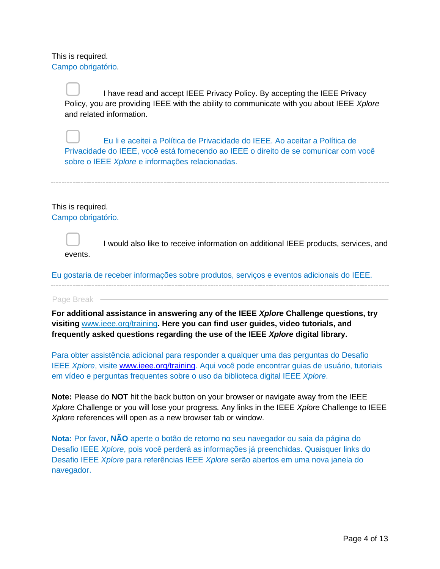This is required. Campo obrigatório.

> I have read and accept IEEE Privacy Policy. By accepting the IEEE Privacy Policy, you are providing IEEE with the ability to communicate with you about IEEE *Xplore* and related information.

▢ Eu li e aceitei a Política de Privacidade do IEEE. Ao aceitar a Política de Privacidade do IEEE, você está fornecendo ao IEEE o direito de se comunicar com você sobre o IEEE *Xplore* e informações relacionadas.

### This is required.

Campo obrigatório.



▢ I would also like to receive information on additional IEEE products, services, and events.

Eu gostaria de receber informações sobre produtos, serviços e eventos adicionais do IEEE.

#### Page Break -

**For additional assistance in answering any of the IEEE** *Xplore* **Challenge questions, try visiting** [www.ieee.org/training](https://www.ieee.org/publications_standards/publications/subscriptions/clientservices/training.html)**. Here you can find user guides, video tutorials, and frequently asked questions regarding the use of the IEEE** *Xplore* **digital library.**

Para obter assistência adicional para responder a qualquer uma das perguntas do Desafio IEEE *Xplore*, visite [www.ieee.org/training.](file:///C:/Users/jmichala/Downloads/www.ieee.org/training) Aqui você pode encontrar guias de usuário, tutoriais em vídeo e perguntas frequentes sobre o uso da biblioteca digital IEEE *Xplore*.

**Note:** Please do **NOT** hit the back button on your browser or navigate away from the IEEE *Xplore* Challenge or you will lose your progress. Any links in the IEEE *Xplore* Challenge to IEEE *Xplore* references will open as a new browser tab or window.

**Nota:** Por favor, **NÃO** aperte o botão de retorno no seu navegador ou saia da página do Desafio IEEE *Xplore*, pois você perderá as informações já preenchidas. Quaisquer links do Desafio IEEE *Xplore* para referências IEEE *Xplore* serão abertos em uma nova janela do navegador.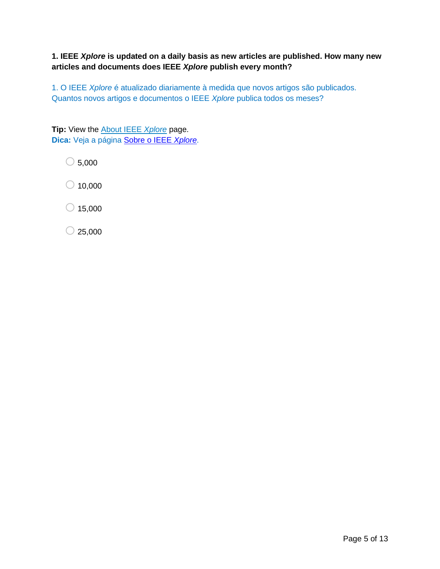# **1. IEEE** *Xplore* **is updated on a daily basis as new articles are published. How many new articles and documents does IEEE** *Xplore* **publish every month?**

1. O IEEE *Xplore* é atualizado diariamente à medida que novos artigos são publicados. Quantos novos artigos e documentos o IEEE *Xplore* publica todos os meses?

**Tip:** View the [About IEEE](http://ieeexplore.ieee.org/Xplorehelp/about-ieee-xplore.html) *Xplore* page. **Dica:** Veja a página [Sobre o IEEE](http://ieeexplore.ieee.org/Xplorehelp/about-ieee-xplore.html) *Xplore*.

 $\bigcirc$  5,000

 $\bigcirc$  10,000

 $\bigcirc$  15,000

 $\bigcirc$  25,000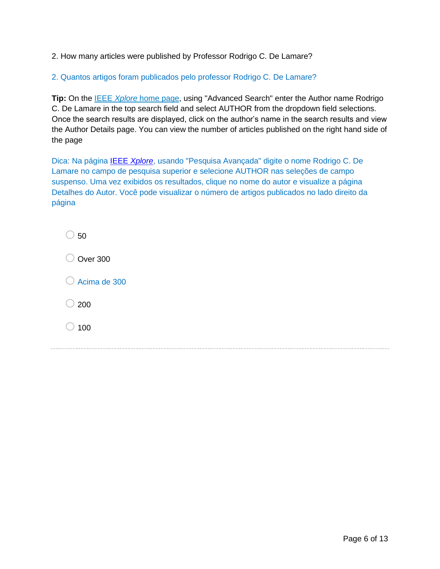2. How many articles were published by Professor Rodrigo C. De Lamare?

2. Quantos artigos foram publicados pelo professor Rodrigo C. De Lamare?

**Tip:** On the [IEEE](https://ieeexplore.ieee.org/Xplore/home.jsp) *[Xplore](https://ieeexplore.ieee.org/Xplore/home.jsp)* [home page,](https://ieeexplore.ieee.org/Xplore/home.jsp) using "Advanced Search" enter the Author name Rodrigo C. De Lamare in the top search field and select AUTHOR from the dropdown field selections. Once the search results are displayed, click on the author's name in the search results and view the Author Details page. You can view the number of articles published on the right hand side of the page

Dica: Na página IEEE *[Xplore](https://ieeexplore.ieee.org/Xplore/home.jsp)*, usando "Pesquisa Avançada" digite o nome Rodrigo C. De Lamare no campo de pesquisa superior e selecione AUTHOR nas seleções de campo suspenso. Uma vez exibidos os resultados, clique no nome do autor e visualize a página Detalhes do Autor. Você pode visualizar o número de artigos publicados no lado direito da página

| $($ ) | -50                     |
|-------|-------------------------|
|       | $\bigcirc$ Over 300     |
|       | $\bigcirc$ Acima de 300 |
|       | $\bigcirc$ 200          |
| $($ ) | 100                     |
|       |                         |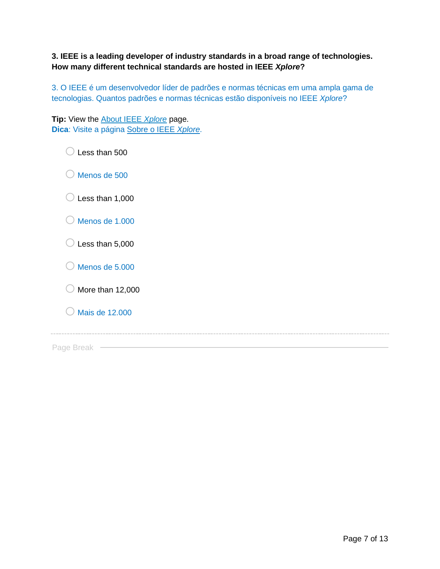**3. IEEE is a leading developer of industry standards in a broad range of technologies. How many different technical standards are hosted in IEEE** *Xplore***?**

3. O IEEE é um desenvolvedor líder de padrões e normas técnicas em uma ampla gama de tecnologias. Quantos padrões e normas técnicas estão disponíveis no IEEE *Xplore*?

**Tip:** View the [About IEEE](http://ieeexplore.ieee.org/Xplorehelp/about-ieee-xplore.html) *Xplore* page. **Dica**: Visite a página [Sobre o IEEE](http://ieeexplore.ieee.org/Xplorehelp/about-ieee-xplore.html) *Xplore*.

 $\bigcirc$  Less than 500

 $\bigcirc$  Menos de 500

 $\bigcirc$  Less than 1,000

| $\bigcirc$ Menos de 1.000 |
|---------------------------|
|                           |

 $\bigcirc$  Less than 5,000

 $\bigcirc$  Menos de 5.000

 $\bigcirc$  More than 12,000

 $\bigcirc$  Mais de 12.000

Page Break -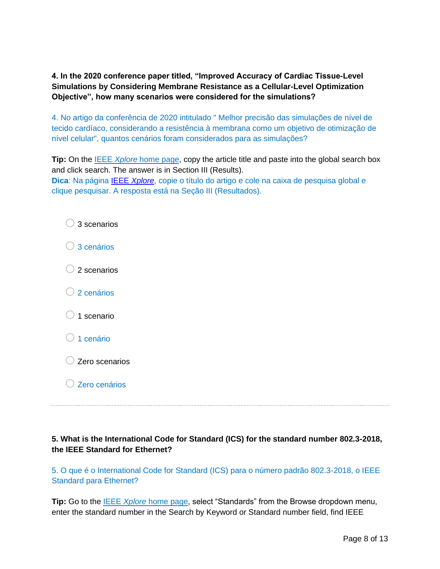**4. In the 2020 conference paper titled, "Improved Accuracy of Cardiac Tissue-Level Simulations by Considering Membrane Resistance as a Cellular-Level Optimization Objective", how many scenarios were considered for the simulations?** 

4. No artigo da conferência de 2020 intitulado " Melhor precisão das simulações de nível de tecido cardíaco, considerando a resistência à membrana como um objetivo de otimização de nível celular", quantos cenários foram considerados para as simulações?

**Tip:** On the **IEEE** *[Xplore](https://ieeexplore.ieee.org/Xplore/home.jsp)* [home page,](https://ieeexplore.ieee.org/Xplore/home.jsp) copy the article title and paste into the global search box and click search. The answer is in Section III (Results). **Dica**: Na página IEEE *[Xplore](https://ieeexplore.ieee.org/Xplore/home.jsp)*, copie o título do artigo e cole na caixa de pesquisa global e

clique pesquisar. A resposta está na Seção III (Resultados).

| $\bigcirc$ 3 scenarios   |
|--------------------------|
| $\bigcirc$ 3 cenários    |
| $\bigcirc$ 2 scenarios   |
| $\bigcirc$ 2 cenários    |
| $\bigcirc$ 1 scenario    |
| ◯ 1 cenário              |
| C Zero scenarios         |
| $\bigcirc$ Zero cenários |

# **5. What is the International Code for Standard (ICS) for the standard number 802.3-2018, the IEEE Standard for Ethernet?**

5. O que é o International Code for Standard (ICS) para o número padrão 802.3-2018, o IEEE Standard para Ethernet?

**Tip:** Go to the [IEEE](https://ieeexplore.ieee.org/Xplore/home.jsp) *[Xplore](https://ieeexplore.ieee.org/Xplore/home.jsp)* [home page,](https://ieeexplore.ieee.org/Xplore/home.jsp) select "Standards" from the Browse dropdown menu, enter the standard number in the Search by Keyword or Standard number field, find IEEE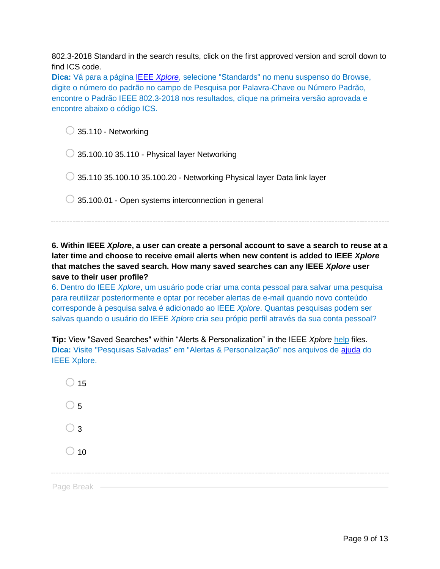802.3-2018 Standard in the search results, click on the first approved version and scroll down to find ICS code.

**Dica:** Vá para a página IEEE *[Xplore](https://ieeexplore.ieee.org/Xplore/home.jsp)*, selecione "Standards" no menu suspenso do Browse, digite o número do padrão no campo de Pesquisa por Palavra-Chave ou Número Padrão, encontre o Padrão IEEE 802.3-2018 nos resultados, clique na primeira versão aprovada e encontre abaixo o código ICS.

 $\bigcirc$  35.110 - Networking

 $\bigcirc$  35.100.10 35.110 - Physical layer Networking

 $\bigcirc$  35.110 35.100.10 35.100.20 - Networking Physical layer Data link layer

 $\bigcirc$  35.100.01 - Open systems interconnection in general

**6. Within IEEE** *Xplore***, a user can create a personal account to save a search to reuse at a later time and choose to receive email alerts when new content is added to IEEE** *Xplore* **that matches the saved search. How many saved searches can any IEEE** *Xplore* **user save to their user profile?**

6. Dentro do IEEE *Xplore*, um usuário pode criar uma conta pessoal para salvar uma pesquisa para reutilizar posteriormente e optar por receber alertas de e-mail quando novo conteúdo corresponde à pesquisa salva é adicionado ao IEEE *Xplore*. Quantas pesquisas podem ser salvas quando o usuário do IEEE *Xplore* cria seu própio perfil através da sua conta pessoal?

**Tip:** View "Saved Searches" within "Alerts & Personalization" in the IEEE *Xplore* [help](https://ieeexplore.ieee.org/Xplorehelp/) files. **Dica:** Visite "Pesquisas Salvadas" em "Alertas & Personalização" nos arquivos de [ajuda](https://ieeexplore.ieee.org/Xplorehelp/) do IEEE Xplore.

| $\bigcirc$ 15 |  |  |  |
|---------------|--|--|--|
| $\bigcirc$ 5  |  |  |  |
| $\supset$ 3   |  |  |  |
| $\bigcirc$ 10 |  |  |  |
|               |  |  |  |
| Page Break —  |  |  |  |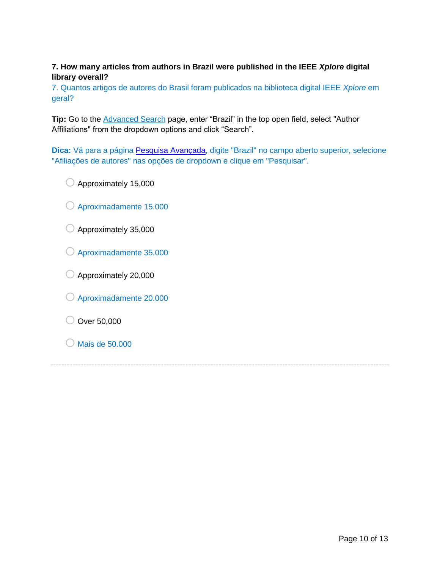# **7. How many articles from authors in Brazil were published in the IEEE** *Xplore* **digital library overall?**

7. Quantos artigos de autores do Brasil foram publicados na biblioteca digital IEEE *Xplore* em geral?

**Tip:** Go to the [Advanced Search](http://ieeexplore.ieee.org/search/advsearch.jsp) page, enter "Brazil" in the top open field, select "Author Affiliations" from the dropdown options and click "Search".

**Dica:** Vá para a página [Pesquisa Avançada,](http://ieeexplore.ieee.org/search/advsearch.jsp) digite "Brazil" no campo aberto superior, selecione "Afiliações de autores" nas opções de dropdown e clique em "Pesquisar".

- $\bigcirc$  Approximately 15,000
- $\bigcirc$  Aproximadamente 15.000
- $\bigcirc$  Approximately 35,000
- o Aproximadamente 35.000
- $\bigcirc$  Approximately 20,000
- o Aproximadamente 20.000
- $\bigcirc$  Over 50,000
- $\bigcirc$  Mais de 50.000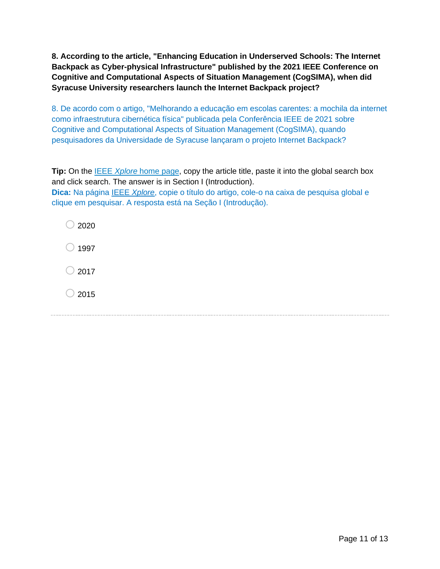**8. According to the article, "Enhancing Education in Underserved Schools: The Internet Backpack as Cyber-physical Infrastructure" published by the 2021 IEEE Conference on Cognitive and Computational Aspects of Situation Management (CogSIMA), when did Syracuse University researchers launch the Internet Backpack project?** 

8. De acordo com o artigo, "Melhorando a educação em escolas carentes: a mochila da internet como infraestrutura cibernética física" publicada pela Conferência IEEE de 2021 sobre Cognitive and Computational Aspects of Situation Management (CogSIMA), quando pesquisadores da Universidade de Syracuse lançaram o projeto Internet Backpack?

**Tip:** On the **[IEEE](https://ieeexplore.ieee.org/Xplore/home.jsp)** *[Xplore](https://ieeexplore.ieee.org/Xplore/home.jsp)* [home page,](https://ieeexplore.ieee.org/Xplore/home.jsp) copy the article title, paste it into the global search box and click search. The answer is in Section I (Introduction). **Dica:** Na página IEEE *[Xplore](https://ieeexplore.ieee.org/Xplore/home.jsp)*, copie o título do artigo, cole-o na caixa de pesquisa global e clique em pesquisar. A resposta está na Seção I (Introdução).

 $\bigcirc$  2020  $\bigcirc$  1997  $\bigcirc$  2017  $\bigcirc$  2015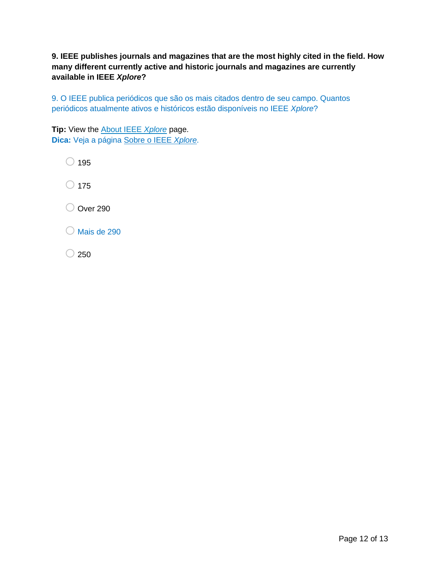**9. IEEE publishes journals and magazines that are the most highly cited in the field. How many different currently active and historic journals and magazines are currently available in IEEE** *Xplore***?** 

9. O IEEE publica periódicos que são os mais citados dentro de seu campo. Quantos periódicos atualmente ativos e históricos estão disponíveis no IEEE *Xplore*?

**Tip:** View the About IEEE *[Xplore](http://ieeexplore.ieee.org/Xplorehelp/about-ieee-xplore.html)* page. **Dica:** Veja a página [Sobre o IEEE](http://ieeexplore.ieee.org/Xplorehelp/about-ieee-xplore.html) *Xplore*.

 $\bigcirc$  195  $\bigcirc$  175 O Over 290  $\bigcirc$  Mais de 290

 $\bigcirc$  250